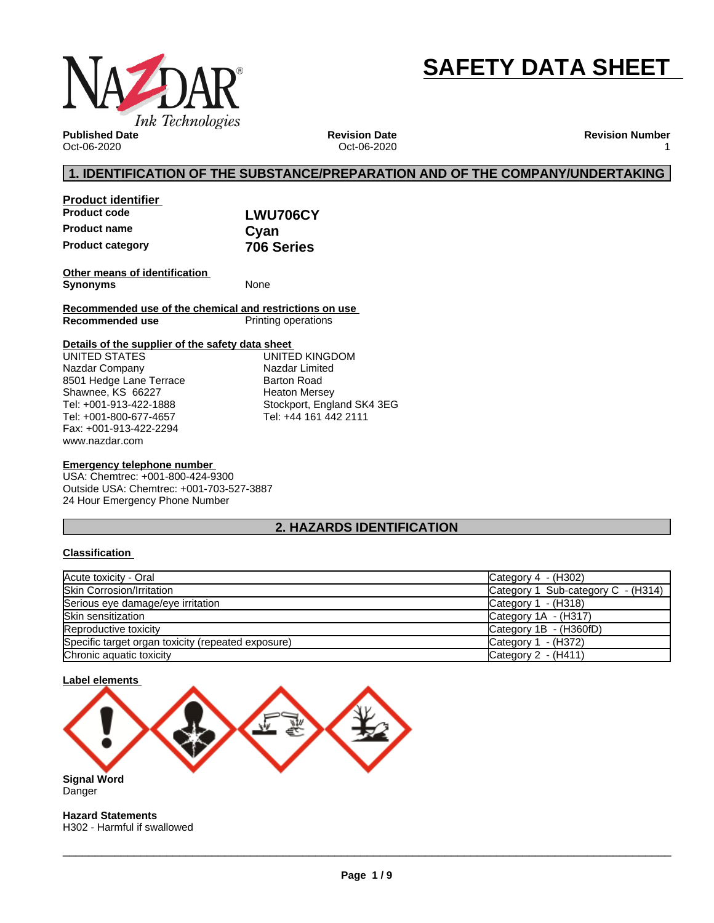

# **SAFETY DATA SHEET**

**Published Date** Oct-06-2020

**Revision Date** Oct-06-2020 **Revision Number** 1

### **1. IDENTIFICATION OF THE SUBSTANCE/PREPARATION AND OF THE COMPANY/UNDERTAKING**

| <b>Product identifier</b> |            |  |
|---------------------------|------------|--|
| <b>Product code</b>       | LWU706CY   |  |
| <b>Product name</b>       | Cvan       |  |
| <b>Product category</b>   | 706 Series |  |

**Other means of identification Synonyms** None

**Recommended use of the chemical and restrictions on use Printing operations** 

### **Details of the supplier of the safety data sheet**

www.nazdar.com UNITED STATES Nazdar Company 8501 Hedge Lane Terrace Shawnee, KS 66227 Tel: +001-913-422-1888 Tel: +001-800-677-4657 Fax: +001-913-422-2294

UNITED KINGDOM Nazdar Limited Barton Road Heaton Mersey Stockport, England SK4 3EG Tel: +44 161 442 2111

### **Emergency telephone number**

USA: Chemtrec: +001-800-424-9300 Outside USA: Chemtrec: +001-703-527-3887 24 Hour Emergency Phone Number

### **2. HAZARDS IDENTIFICATION**

### **Classification**

| Acute toxicity - Oral                              | Category $4 - (H302)$              |
|----------------------------------------------------|------------------------------------|
| <b>Skin Corrosion/Irritation</b>                   | Category 1 Sub-category C - (H314) |
| Serious eye damage/eye irritation                  | Category 1 - (H318)                |
| <b>Skin sensitization</b>                          | Category 1A - (H317)               |
| Reproductive toxicity                              | Category 1B - (H360fD)             |
| Specific target organ toxicity (repeated exposure) | Category 1 - (H372)                |
| Chronic aquatic toxicity                           | Category 2 - (H411)                |



H302 - Harmful if swallowed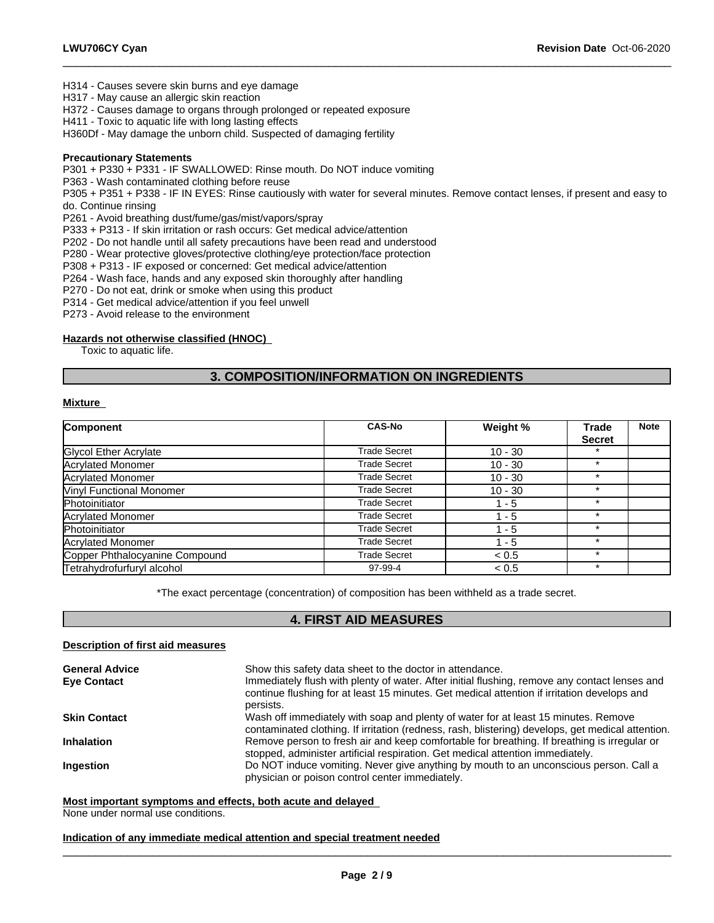H314 - Causes severe skin burns and eye damage

H317 - May cause an allergic skin reaction

H372 - Causes damage to organs through prolonged or repeated exposure

H411 - Toxic to aquatic life with long lasting effects

H360Df - May damage the unborn child. Suspected of damaging fertility

#### **Precautionary Statements**

P301 + P330 + P331 - IF SWALLOWED: Rinse mouth. Do NOT induce vomiting

P363 - Wash contaminated clothing before reuse

P305 + P351 + P338 - IF IN EYES: Rinse cautiously with water forseveral minutes. Remove contact lenses, if present and easy to do. Continue rinsing

 $\_$  ,  $\_$  ,  $\_$  ,  $\_$  ,  $\_$  ,  $\_$  ,  $\_$  ,  $\_$  ,  $\_$  ,  $\_$  ,  $\_$  ,  $\_$  ,  $\_$  ,  $\_$  ,  $\_$  ,  $\_$  ,  $\_$  ,  $\_$  ,  $\_$  ,  $\_$  ,  $\_$  ,  $\_$  ,  $\_$  ,  $\_$  ,  $\_$  ,  $\_$  ,  $\_$  ,  $\_$  ,  $\_$  ,  $\_$  ,  $\_$  ,  $\_$  ,  $\_$  ,  $\_$  ,  $\_$  ,  $\_$  ,  $\_$  ,

P261 - Avoid breathing dust/fume/gas/mist/vapors/spray

P333 + P313 - If skin irritation or rash occurs: Get medical advice/attention

P202 - Do not handle until all safety precautions have been read and understood

P280 - Wear protective gloves/protective clothing/eye protection/face protection

P308 + P313 - IF exposed or concerned: Get medical advice/attention

P264 - Wash face, hands and any exposed skin thoroughly after handling

P270 - Do not eat, drink or smoke when using this product

P314 - Get medical advice/attention if you feel unwell

P273 - Avoid release to the environment

#### **Hazards not otherwise classified (HNOC)**

Toxic to aquatic life.

### **3. COMPOSITION/INFORMATION ON INGREDIENTS**

### **Mixture**

| Component                       | <b>CAS-No</b>       | Weight %  | Trade         | <b>Note</b> |
|---------------------------------|---------------------|-----------|---------------|-------------|
|                                 |                     |           | <b>Secret</b> |             |
| Glycol Ether Acrylate           | <b>Trade Secret</b> | $10 - 30$ |               |             |
| Acrylated Monomer               | <b>Trade Secret</b> | $10 - 30$ |               |             |
| Acrylated Monomer               | <b>Trade Secret</b> | $10 - 30$ | $\star$       |             |
| <b>Vinyl Functional Monomer</b> | Trade Secret        | $10 - 30$ | $\star$       |             |
| Photoinitiator                  | <b>Trade Secret</b> | 1 - 5     |               |             |
| <b>Acrylated Monomer</b>        | <b>Trade Secret</b> | - 5       |               |             |
| Photoinitiator                  | <b>Trade Secret</b> | $1 - 5$   |               |             |
| <b>Acrylated Monomer</b>        | <b>Trade Secret</b> | $1 - 5$   | $\star$       |             |
| Copper Phthalocyanine Compound  | <b>Trade Secret</b> | < 0.5     | $\star$       |             |
| Tetrahydrofurfuryl alcohol      | 97-99-4             | < 0.5     | $\star$       |             |

\*The exact percentage (concentration) of composition has been withheld as a trade secret.

### **4. FIRST AID MEASURES**

#### **Description of first aid measures**

| <b>General Advice</b> | Show this safety data sheet to the doctor in attendance.                                                                                                                                                  |
|-----------------------|-----------------------------------------------------------------------------------------------------------------------------------------------------------------------------------------------------------|
| <b>Eye Contact</b>    | Immediately flush with plenty of water. After initial flushing, remove any contact lenses and<br>continue flushing for at least 15 minutes. Get medical attention if irritation develops and<br>persists. |
| <b>Skin Contact</b>   | Wash off immediately with soap and plenty of water for at least 15 minutes. Remove<br>contaminated clothing. If irritation (redness, rash, blistering) develops, get medical attention.                   |
| <b>Inhalation</b>     | Remove person to fresh air and keep comfortable for breathing. If breathing is irregular or<br>stopped, administer artificial respiration. Get medical attention immediately.                             |
| Ingestion             | Do NOT induce vomiting. Never give anything by mouth to an unconscious person. Call a<br>physician or poison control center immediately.                                                                  |

### **Most important symptoms and effects, both acute and delayed**

None under normal use conditions.

### **Indication of any immediate medical attention and special treatment needed**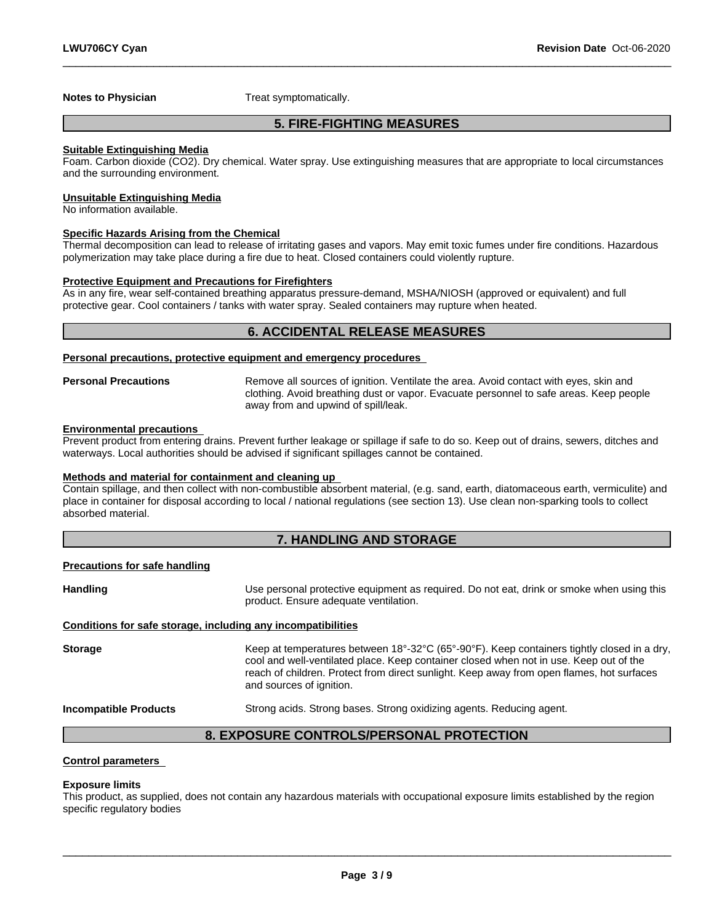**Notes to Physician** Treat symptomatically.

### **5. FIRE-FIGHTING MEASURES**

 $\_$  ,  $\_$  ,  $\_$  ,  $\_$  ,  $\_$  ,  $\_$  ,  $\_$  ,  $\_$  ,  $\_$  ,  $\_$  ,  $\_$  ,  $\_$  ,  $\_$  ,  $\_$  ,  $\_$  ,  $\_$  ,  $\_$  ,  $\_$  ,  $\_$  ,  $\_$  ,  $\_$  ,  $\_$  ,  $\_$  ,  $\_$  ,  $\_$  ,  $\_$  ,  $\_$  ,  $\_$  ,  $\_$  ,  $\_$  ,  $\_$  ,  $\_$  ,  $\_$  ,  $\_$  ,  $\_$  ,  $\_$  ,  $\_$  ,

#### **Suitable Extinguishing Media**

Foam. Carbon dioxide (CO2). Dry chemical. Water spray. Use extinguishing measures that are appropriate to local circumstances and the surrounding environment.

#### **Unsuitable Extinguishing Media**

No information available.

#### **Specific Hazards Arising from the Chemical**

Thermal decomposition can lead to release of irritating gases and vapors. May emit toxic fumes under fire conditions. Hazardous polymerization may take place during a fire due to heat. Closed containers could violently rupture.

### **Protective Equipment and Precautions for Firefighters**

As in any fire, wear self-contained breathing apparatus pressure-demand, MSHA/NIOSH (approved or equivalent) and full protective gear. Cool containers / tanks with water spray. Sealed containers may rupture when heated.

### **6. ACCIDENTAL RELEASE MEASURES**

#### **Personal precautions, protective equipment and emergency procedures**

**Personal Precautions** Remove all sources of ignition. Ventilate the area. Avoid contact with eyes, skin and clothing. Avoid breathing dust or vapor. Evacuate personnel to safe areas. Keep people away from and upwind of spill/leak.

#### **Environmental precautions**

Prevent product from entering drains. Prevent further leakage or spillage if safe to do so. Keep out of drains, sewers, ditches and waterways. Local authorities should be advised if significant spillages cannot be contained.

### **Methods and material for containment and cleaning up**

Contain spillage, and then collect with non-combustible absorbent material, (e.g. sand, earth, diatomaceous earth, vermiculite) and place in container for disposal according to local / national regulations (see section 13). Use clean non-sparking tools to collect absorbed material.

### **7. HANDLING AND STORAGE**

#### **Precautions for safe handling**

Handling **Handling Example 20** Use personal protective equipment as required. Do not eat, drink or smoke when using this product. Ensure adequate ventilation.

#### **Conditions for safe storage, including any incompatibilities**

Storage **Keep at temperatures between 18°-32°C (65°-90°F). Keep containers tightly closed in a dry,** cool and well-ventilated place. Keep container closed when not in use. Keep out of the reach of children. Protect from direct sunlight. Keep away from open flames, hot surfaces and sources of ignition.

**Incompatible Products** Strong acids. Strong bases. Strong oxidizing agents. Reducing agent.

 $\_$  ,  $\_$  ,  $\_$  ,  $\_$  ,  $\_$  ,  $\_$  ,  $\_$  ,  $\_$  ,  $\_$  ,  $\_$  ,  $\_$  ,  $\_$  ,  $\_$  ,  $\_$  ,  $\_$  ,  $\_$  ,  $\_$  ,  $\_$  ,  $\_$  ,  $\_$  ,  $\_$  ,  $\_$  ,  $\_$  ,  $\_$  ,  $\_$  ,  $\_$  ,  $\_$  ,  $\_$  ,  $\_$  ,  $\_$  ,  $\_$  ,  $\_$  ,  $\_$  ,  $\_$  ,  $\_$  ,  $\_$  ,  $\_$  ,

### **8. EXPOSURE CONTROLS/PERSONAL PROTECTION**

### **Control parameters**

#### **Exposure limits**

This product, as supplied, does not contain any hazardous materials with occupational exposure limits established by the region specific regulatory bodies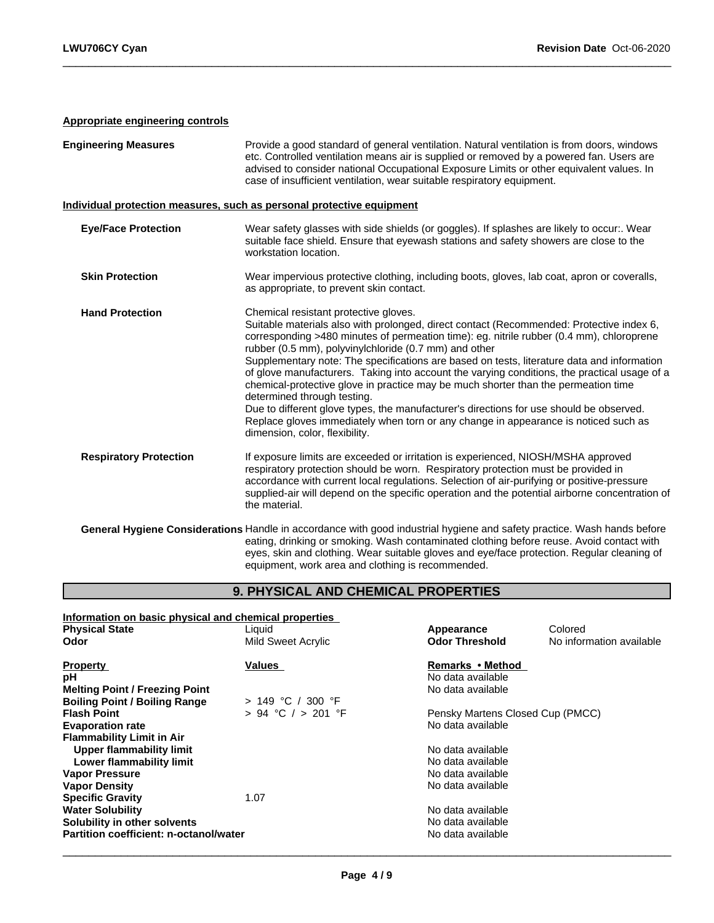### **Appropriate engineering controls**

| <b>Engineering Measures</b>   | Provide a good standard of general ventilation. Natural ventilation is from doors, windows<br>etc. Controlled ventilation means air is supplied or removed by a powered fan. Users are<br>advised to consider national Occupational Exposure Limits or other equivalent values. In<br>case of insufficient ventilation, wear suitable respiratory equipment.                                                                                                                                                                                                                                                                                                                                                                                                                                                                  |
|-------------------------------|-------------------------------------------------------------------------------------------------------------------------------------------------------------------------------------------------------------------------------------------------------------------------------------------------------------------------------------------------------------------------------------------------------------------------------------------------------------------------------------------------------------------------------------------------------------------------------------------------------------------------------------------------------------------------------------------------------------------------------------------------------------------------------------------------------------------------------|
|                               | Individual protection measures, such as personal protective equipment                                                                                                                                                                                                                                                                                                                                                                                                                                                                                                                                                                                                                                                                                                                                                         |
| <b>Eye/Face Protection</b>    | Wear safety glasses with side shields (or goggles). If splashes are likely to occur:. Wear<br>suitable face shield. Ensure that eyewash stations and safety showers are close to the<br>workstation location.                                                                                                                                                                                                                                                                                                                                                                                                                                                                                                                                                                                                                 |
| <b>Skin Protection</b>        | Wear impervious protective clothing, including boots, gloves, lab coat, apron or coveralls,<br>as appropriate, to prevent skin contact.                                                                                                                                                                                                                                                                                                                                                                                                                                                                                                                                                                                                                                                                                       |
| <b>Hand Protection</b>        | Chemical resistant protective gloves.<br>Suitable materials also with prolonged, direct contact (Recommended: Protective index 6,<br>corresponding >480 minutes of permeation time): eg. nitrile rubber (0.4 mm), chloroprene<br>rubber (0.5 mm), polyvinylchloride (0.7 mm) and other<br>Supplementary note: The specifications are based on tests, literature data and information<br>of glove manufacturers. Taking into account the varying conditions, the practical usage of a<br>chemical-protective glove in practice may be much shorter than the permeation time<br>determined through testing.<br>Due to different glove types, the manufacturer's directions for use should be observed.<br>Replace gloves immediately when torn or any change in appearance is noticed such as<br>dimension, color, flexibility. |
| <b>Respiratory Protection</b> | If exposure limits are exceeded or irritation is experienced, NIOSH/MSHA approved<br>respiratory protection should be worn. Respiratory protection must be provided in<br>accordance with current local regulations. Selection of air-purifying or positive-pressure<br>supplied-air will depend on the specific operation and the potential airborne concentration of<br>the material.                                                                                                                                                                                                                                                                                                                                                                                                                                       |
|                               | General Hygiene Considerations Handle in accordance with good industrial hygiene and safety practice. Wash hands before<br>eating, drinking or smoking. Wash contaminated clothing before reuse. Avoid contact with<br>eyes, skin and clothing. Wear suitable gloves and eye/face protection. Regular cleaning of<br>equipment, work area and clothing is recommended.                                                                                                                                                                                                                                                                                                                                                                                                                                                        |

 $\_$  ,  $\_$  ,  $\_$  ,  $\_$  ,  $\_$  ,  $\_$  ,  $\_$  ,  $\_$  ,  $\_$  ,  $\_$  ,  $\_$  ,  $\_$  ,  $\_$  ,  $\_$  ,  $\_$  ,  $\_$  ,  $\_$  ,  $\_$  ,  $\_$  ,  $\_$  ,  $\_$  ,  $\_$  ,  $\_$  ,  $\_$  ,  $\_$  ,  $\_$  ,  $\_$  ,  $\_$  ,  $\_$  ,  $\_$  ,  $\_$  ,  $\_$  ,  $\_$  ,  $\_$  ,  $\_$  ,  $\_$  ,  $\_$  ,

### **9. PHYSICAL AND CHEMICAL PROPERTIES**

| Information on basic physical and chemical properties |                        |                                  |                          |  |
|-------------------------------------------------------|------------------------|----------------------------------|--------------------------|--|
| <b>Physical State</b>                                 | Liquid                 | Appearance                       | Colored                  |  |
| Odor                                                  | Mild Sweet Acrylic     | <b>Odor Threshold</b>            | No information available |  |
| <b>Property</b>                                       | Values                 | Remarks • Method                 |                          |  |
| рH                                                    |                        | No data available                |                          |  |
| <b>Melting Point / Freezing Point</b>                 |                        | No data available                |                          |  |
| <b>Boiling Point / Boiling Range</b>                  | $> 149$ °C / 300 °F    |                                  |                          |  |
| <b>Flash Point</b>                                    | $> 94$ °C $/ > 201$ °F | Pensky Martens Closed Cup (PMCC) |                          |  |
| <b>Evaporation rate</b>                               |                        | No data available                |                          |  |
| <b>Flammability Limit in Air</b>                      |                        |                                  |                          |  |
| Upper flammability limit                              |                        | No data available                |                          |  |
| Lower flammability limit                              |                        | No data available                |                          |  |
| <b>Vapor Pressure</b>                                 |                        | No data available                |                          |  |
| <b>Vapor Density</b>                                  |                        | No data available                |                          |  |
| <b>Specific Gravity</b>                               | 1.07                   |                                  |                          |  |
| <b>Water Solubility</b>                               |                        | No data available                |                          |  |
| Solubility in other solvents                          |                        | No data available                |                          |  |
| Partition coefficient: n-octanol/water                |                        | No data available                |                          |  |
|                                                       |                        |                                  |                          |  |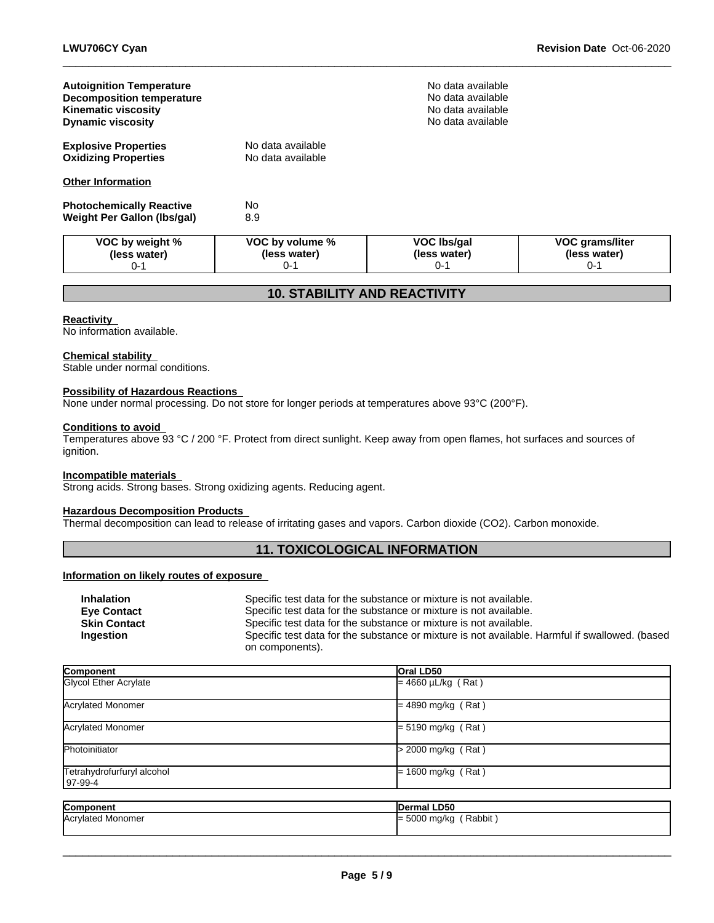| <b>Autoignition Temperature</b><br><b>Decomposition temperature</b><br><b>Kinematic viscosity</b><br><b>Dynamic viscosity</b> |                                            | No data available<br>No data available<br>No data available<br>No data available |                                                   |
|-------------------------------------------------------------------------------------------------------------------------------|--------------------------------------------|----------------------------------------------------------------------------------|---------------------------------------------------|
| <b>Explosive Properties</b><br><b>Oxidizing Properties</b>                                                                    | No data available<br>No data available     |                                                                                  |                                                   |
| <b>Other Information</b>                                                                                                      |                                            |                                                                                  |                                                   |
| <b>Photochemically Reactive</b><br><b>Weight Per Gallon (lbs/gal)</b>                                                         | N <sub>o</sub><br>8.9                      |                                                                                  |                                                   |
| VOC by weight %<br>(less water)<br>$0 - 1$                                                                                    | VOC by volume %<br>(less water)<br>$0 - 1$ | <b>VOC Ibs/gal</b><br>(less water)<br>$0 - 1$                                    | <b>VOC grams/liter</b><br>(less water)<br>$0 - 1$ |

 $\_$  ,  $\_$  ,  $\_$  ,  $\_$  ,  $\_$  ,  $\_$  ,  $\_$  ,  $\_$  ,  $\_$  ,  $\_$  ,  $\_$  ,  $\_$  ,  $\_$  ,  $\_$  ,  $\_$  ,  $\_$  ,  $\_$  ,  $\_$  ,  $\_$  ,  $\_$  ,  $\_$  ,  $\_$  ,  $\_$  ,  $\_$  ,  $\_$  ,  $\_$  ,  $\_$  ,  $\_$  ,  $\_$  ,  $\_$  ,  $\_$  ,  $\_$  ,  $\_$  ,  $\_$  ,  $\_$  ,  $\_$  ,  $\_$  ,

### **10. STABILITY AND REACTIVITY**

#### **Reactivity**

No information available.

### **Chemical stability**

Stable under normal conditions.

### **Possibility of Hazardous Reactions**

None under normal processing. Do not store for longer periods at temperatures above 93°C (200°F).

### **Conditions to avoid**

Temperatures above 93 °C / 200 °F. Protect from direct sunlight. Keep away from open flames, hot surfaces and sources of ignition.

### **Incompatible materials**

Strong acids. Strong bases. Strong oxidizing agents. Reducing agent.

### **Hazardous Decomposition Products**

Thermal decomposition can lead to release of irritating gases and vapors. Carbon dioxide (CO2). Carbon monoxide.

### **11. TOXICOLOGICAL INFORMATION**

### **Information on likely routes of exposure**

| <b>Inhalation</b>   | Specific test data for the substance or mixture is not available.                              |
|---------------------|------------------------------------------------------------------------------------------------|
| <b>Eve Contact</b>  | Specific test data for the substance or mixture is not available.                              |
| <b>Skin Contact</b> | Specific test data for the substance or mixture is not available.                              |
| Ingestion           | Specific test data for the substance or mixture is not available. Harmful if swallowed. (based |
|                     | on components).                                                                                |

| Component                  | Oral LD50               |
|----------------------------|-------------------------|
| Glycol Ether Acrylate      | $= 4660 \mu L/kg$ (Rat) |
|                            |                         |
| Acrylated Monomer          | $= 4890$ mg/kg (Rat)    |
|                            |                         |
| Acrylated Monomer          | $= 5190$ mg/kg (Rat)    |
| Photoinitiator             | $>$ 2000 mg/kg (Rat)    |
|                            |                         |
| Tetrahydrofurfuryl alcohol | $= 1600$ mg/kg (Rat)    |
| 97-99-4                    |                         |
|                            |                         |
| Component                  | Dermal LD50             |
| Acrylated Monomer          | $=$ 5000 mg/kg (Rabbit) |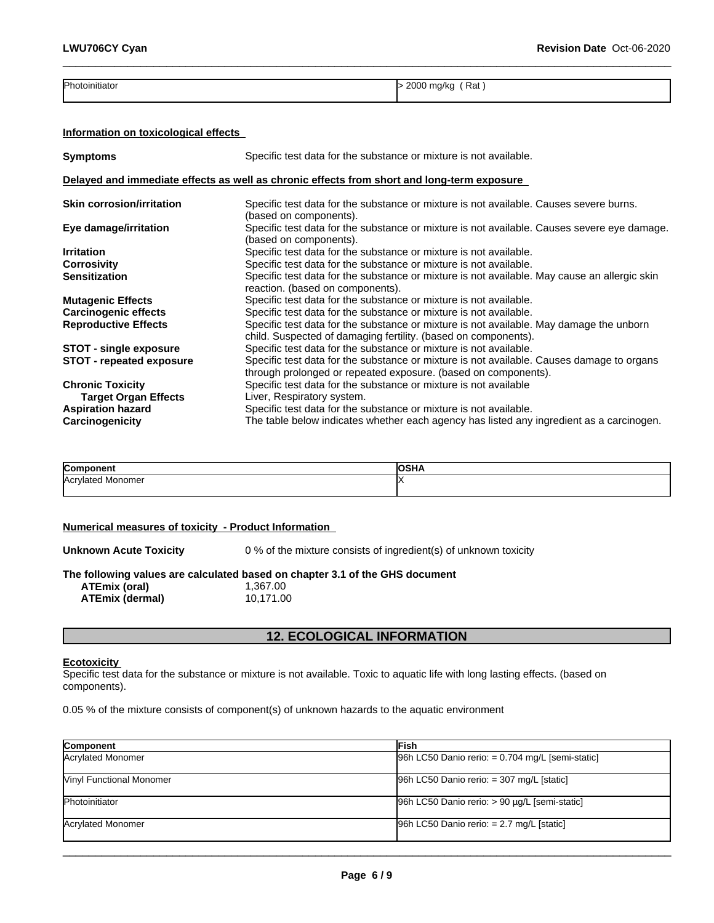| Photoinitiator | 2000<br>Rat<br>ma/ka<br>.<br>.<br>$\sim$ |
|----------------|------------------------------------------|
|                |                                          |

 $\_$  ,  $\_$  ,  $\_$  ,  $\_$  ,  $\_$  ,  $\_$  ,  $\_$  ,  $\_$  ,  $\_$  ,  $\_$  ,  $\_$  ,  $\_$  ,  $\_$  ,  $\_$  ,  $\_$  ,  $\_$  ,  $\_$  ,  $\_$  ,  $\_$  ,  $\_$  ,  $\_$  ,  $\_$  ,  $\_$  ,  $\_$  ,  $\_$  ,  $\_$  ,  $\_$  ,  $\_$  ,  $\_$  ,  $\_$  ,  $\_$  ,  $\_$  ,  $\_$  ,  $\_$  ,  $\_$  ,  $\_$  ,  $\_$  ,

### **Information on toxicological effects**

| <b>Symptoms</b>                  | Specific test data for the substance or mixture is not available.                                                                                           |
|----------------------------------|-------------------------------------------------------------------------------------------------------------------------------------------------------------|
|                                  | Delayed and immediate effects as well as chronic effects from short and long-term exposure                                                                  |
| <b>Skin corrosion/irritation</b> | Specific test data for the substance or mixture is not available. Causes severe burns.<br>(based on components).                                            |
| Eye damage/irritation            | Specific test data for the substance or mixture is not available. Causes severe eye damage.<br>(based on components).                                       |
| <b>Irritation</b>                | Specific test data for the substance or mixture is not available.                                                                                           |
| <b>Corrosivity</b>               | Specific test data for the substance or mixture is not available.                                                                                           |
| <b>Sensitization</b>             | Specific test data for the substance or mixture is not available. May cause an allergic skin<br>reaction. (based on components).                            |
| <b>Mutagenic Effects</b>         | Specific test data for the substance or mixture is not available.                                                                                           |
| <b>Carcinogenic effects</b>      | Specific test data for the substance or mixture is not available.                                                                                           |
| <b>Reproductive Effects</b>      | Specific test data for the substance or mixture is not available. May damage the unborn<br>child. Suspected of damaging fertility. (based on components).   |
| <b>STOT - single exposure</b>    | Specific test data for the substance or mixture is not available.                                                                                           |
| <b>STOT - repeated exposure</b>  | Specific test data for the substance or mixture is not available. Causes damage to organs<br>through prolonged or repeated exposure. (based on components). |
| <b>Chronic Toxicity</b>          | Specific test data for the substance or mixture is not available                                                                                            |
| <b>Target Organ Effects</b>      | Liver, Respiratory system.                                                                                                                                  |
| <b>Aspiration hazard</b>         | Specific test data for the substance or mixture is not available.                                                                                           |
| Carcinogenicity                  | The table below indicates whether each agency has listed any ingredient as a carcinogen.                                                                    |

| $\sim$                  | . |
|-------------------------|---|
| n<br>nomei<br>лог<br>∽~ |   |
|                         |   |

### **Numerical measures of toxicity - Product Information**

**Unknown Acute Toxicity** 0 % of the mixture consists of ingredient(s) of unknown toxicity

## **The following values are calculated based on chapter 3.1 of the GHS document ATEmix (oral)** 1,367.00<br> **ATEmix (dermal)** 10,171.00

**ATEmix** (dermal)

### **12. ECOLOGICAL INFORMATION**

#### **Ecotoxicity**

Specific test data for the substance or mixture is not available. Toxic to aquatic life with long lasting effects. (based on components).

0.05 % of the mixture consists of component(s) of unknown hazards to the aquatic environment

| Component                       | lFish                                               |
|---------------------------------|-----------------------------------------------------|
| Acrylated Monomer               | $[96h$ LC50 Danio rerio: = 0.704 mg/L [semi-static] |
| <b>Vinyl Functional Monomer</b> | $96h$ LC50 Danio rerio: = 307 mg/L [static]         |
| Photoinitiator                  | 96h LC50 Danio rerio: > 90 µg/L [semi-static]       |
| Acrylated Monomer               | $96h$ LC50 Danio rerio: = 2.7 mg/L [static]         |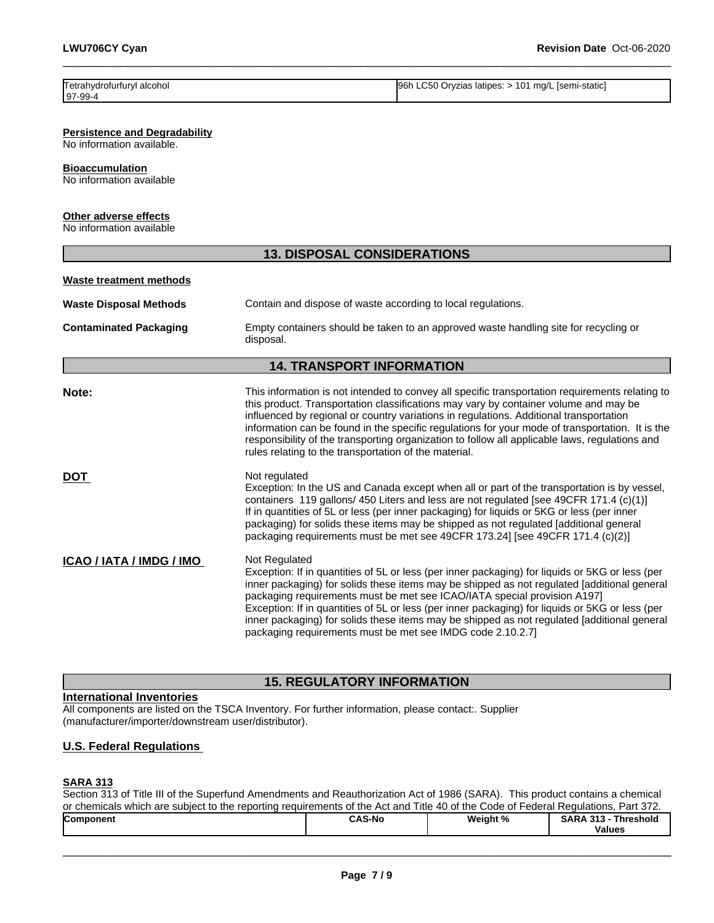| Tetrahydrofurfuryl alcohol | 96h LC50 Oryzias latipes: > 101 mg/L [semi-static] |
|----------------------------|----------------------------------------------------|
| 97-99-4                    |                                                    |

 $\_$  ,  $\_$  ,  $\_$  ,  $\_$  ,  $\_$  ,  $\_$  ,  $\_$  ,  $\_$  ,  $\_$  ,  $\_$  ,  $\_$  ,  $\_$  ,  $\_$  ,  $\_$  ,  $\_$  ,  $\_$  ,  $\_$  ,  $\_$  ,  $\_$  ,  $\_$  ,  $\_$  ,  $\_$  ,  $\_$  ,  $\_$  ,  $\_$  ,  $\_$  ,  $\_$  ,  $\_$  ,  $\_$  ,  $\_$  ,  $\_$  ,  $\_$  ,  $\_$  ,  $\_$  ,  $\_$  ,  $\_$  ,  $\_$  ,

**Persistence and Degradability**

No information available.

**Bioaccumulation**

No information available

### **Other adverse effects**

No information available

|                               | <b>13. DISPOSAL CONSIDERATIONS</b>                                                                                                                                                                                                                                                                                                                                                                                                                                                                                                                          |  |
|-------------------------------|-------------------------------------------------------------------------------------------------------------------------------------------------------------------------------------------------------------------------------------------------------------------------------------------------------------------------------------------------------------------------------------------------------------------------------------------------------------------------------------------------------------------------------------------------------------|--|
| Waste treatment methods       |                                                                                                                                                                                                                                                                                                                                                                                                                                                                                                                                                             |  |
| <b>Waste Disposal Methods</b> | Contain and dispose of waste according to local regulations.                                                                                                                                                                                                                                                                                                                                                                                                                                                                                                |  |
| <b>Contaminated Packaging</b> | Empty containers should be taken to an approved waste handling site for recycling or<br>disposal.                                                                                                                                                                                                                                                                                                                                                                                                                                                           |  |
|                               | <b>14. TRANSPORT INFORMATION</b>                                                                                                                                                                                                                                                                                                                                                                                                                                                                                                                            |  |
| Note:                         | This information is not intended to convey all specific transportation requirements relating to<br>this product. Transportation classifications may vary by container volume and may be<br>influenced by regional or country variations in regulations. Additional transportation<br>information can be found in the specific regulations for your mode of transportation. It is the<br>responsibility of the transporting organization to follow all applicable laws, regulations and<br>rules relating to the transportation of the material.             |  |
| <b>DOT</b>                    | Not regulated<br>Exception: In the US and Canada except when all or part of the transportation is by vessel,<br>containers 119 gallons/450 Liters and less are not regulated [see 49CFR 171.4 (c)(1)]<br>If in quantities of 5L or less (per inner packaging) for liquids or 5KG or less (per inner<br>packaging) for solids these items may be shipped as not regulated [additional general<br>packaging requirements must be met see 49CFR 173.24] [see 49CFR 171.4 (c)(2)]                                                                               |  |
| ICAO / IATA / IMDG / IMO      | Not Regulated<br>Exception: If in quantities of 5L or less (per inner packaging) for liquids or 5KG or less (per<br>inner packaging) for solids these items may be shipped as not regulated [additional general<br>packaging requirements must be met see ICAO/IATA special provision A197]<br>Exception: If in quantities of 5L or less (per inner packaging) for liquids or 5KG or less (per<br>inner packaging) for solids these items may be shipped as not regulated [additional general<br>packaging requirements must be met see IMDG code 2.10.2.7] |  |

### **15. REGULATORY INFORMATION**

### **International Inventories**

All components are listed on the TSCA Inventory. For further information, please contact:. Supplier (manufacturer/importer/downstream user/distributor).

### **U.S. Federal Regulations**

### **SARA 313**

Section 313 of Title III of the Superfund Amendments and Reauthorization Act of 1986 (SARA). This product contains a chemical or chemicals which are subject to the reporting requirements of the Act and Title 40 of the Code of Federal Regulations, Part 372.

| <b>CAS-No</b><br>Weight %<br>SAR/<br>- 242<br><b>Component</b><br>Threshold<br>.<br><b>Values</b> |
|---------------------------------------------------------------------------------------------------|
|---------------------------------------------------------------------------------------------------|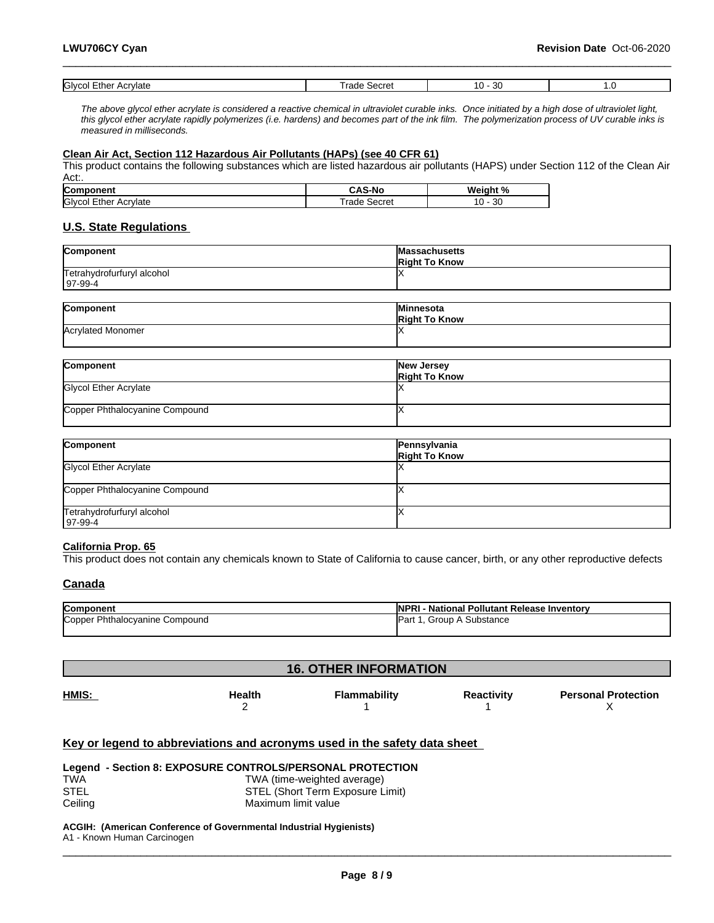| Glvcol<br>Ether<br>Acrvlate | ecret<br>H | or<br>w.<br>. . |  |
|-----------------------------|------------|-----------------|--|

*The above glycol ether acrylate is considered a reactive chemical in ultraviolet curable inks. Once initiated by a high dose of ultraviolet light, this glycol ether acrylate rapidly polymerizes (i.e. hardens) and becomes part of the ink film. The polymerization process of UV curable inks is measured in milliseconds.*

 $\_$  ,  $\_$  ,  $\_$  ,  $\_$  ,  $\_$  ,  $\_$  ,  $\_$  ,  $\_$  ,  $\_$  ,  $\_$  ,  $\_$  ,  $\_$  ,  $\_$  ,  $\_$  ,  $\_$  ,  $\_$  ,  $\_$  ,  $\_$  ,  $\_$  ,  $\_$  ,  $\_$  ,  $\_$  ,  $\_$  ,  $\_$  ,  $\_$  ,  $\_$  ,  $\_$  ,  $\_$  ,  $\_$  ,  $\_$  ,  $\_$  ,  $\_$  ,  $\_$  ,  $\_$  ,  $\_$  ,  $\_$  ,  $\_$  ,

### **Clean Air Act,Section 112 Hazardous Air Pollutants (HAPs) (see 40 CFR 61)**

This product contains the following substances which are listed hazardous air pollutants (HAPS) under Section 112 of the Clean Air Act:.

| Component                   | <b>CAS-No</b>  | Weiaht<br>70 |
|-----------------------------|----------------|--------------|
| Glycol<br>Acrylate<br>Ether | Secret<br>rade | 2C<br>w      |

### **U.S. State Regulations**

| Component                  | <b>Massachusetts</b> |
|----------------------------|----------------------|
|                            | <b>Right To Know</b> |
| Tetrahydrofurfuryl alcohol |                      |
| $ 97-99-4$                 |                      |
|                            |                      |
|                            |                      |

| <b>Component</b>         | <b>Minnesota</b>     |
|--------------------------|----------------------|
|                          | <b>Right To Know</b> |
| <b>Acrylated Monomer</b> |                      |
|                          |                      |

| Component                      | New Jersey<br><b>Right To Know</b> |
|--------------------------------|------------------------------------|
| Glycol Ether Acrylate          |                                    |
| Copper Phthalocyanine Compound |                                    |

| Component                                    | Pennsylvania<br><b>Right To Know</b> |
|----------------------------------------------|--------------------------------------|
| Glycol Ether Acrylate                        |                                      |
| Copper Phthalocyanine Compound               |                                      |
| Tetrahydrofurfuryl alcohol<br>$197 - 99 - 4$ |                                      |

#### **California Prop. 65**

This product does not contain any chemicals known to State of California to cause cancer, birth, or any other reproductive defects

### **Canada**

| Component                      | <b>INPRI - National Pollutant Release Inventory</b> |
|--------------------------------|-----------------------------------------------------|
| Copper Phthalocyanine Compound | Group A Substance<br>Part L.                        |
|                                |                                                     |

| <b>16. OTHER INFORMATION</b> |               |              |                   |                            |
|------------------------------|---------------|--------------|-------------------|----------------------------|
| HMIS:                        | <b>Health</b> | Flammability | <b>Reactivity</b> | <b>Personal Protection</b> |

### **Key or legend to abbreviations and acronyms used in the safety data sheet**

|            | Legend - Section 8: EXPOSURE CONTROLS/PERSONAL PROTECTION |
|------------|-----------------------------------------------------------|
| <b>TWA</b> | TWA (time-weighted average)                               |
| STEL       | STEL (Short Term Exposure Limit)                          |
| Ceiling    | Maximum limit value                                       |

#### **ACGIH: (American Conference of Governmental Industrial Hygienists)** A1 - Known Human Carcinogen